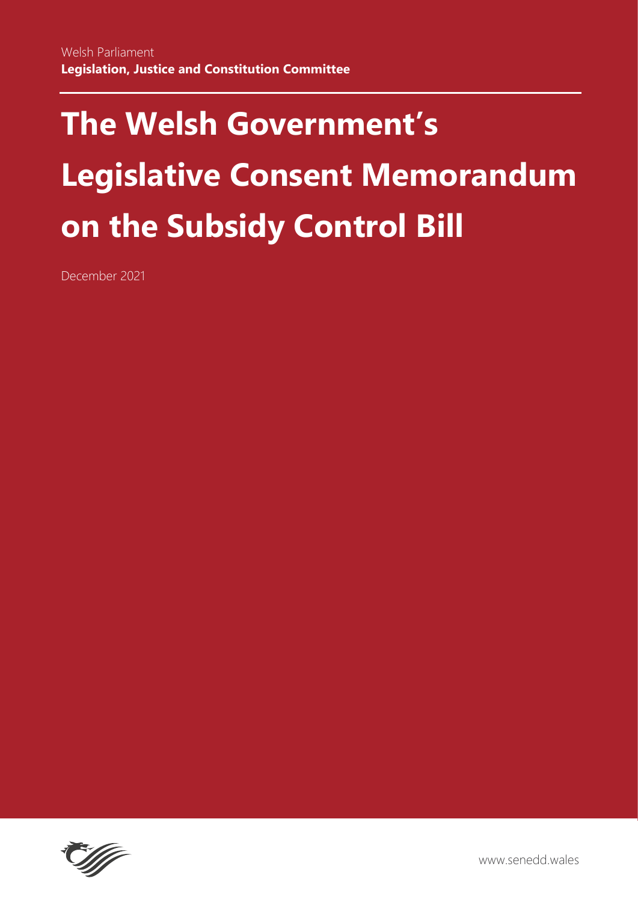# **The Welsh Government's Legislative Consent Memorandum on the Subsidy Control Bill**

December 2021



www.senedd.wales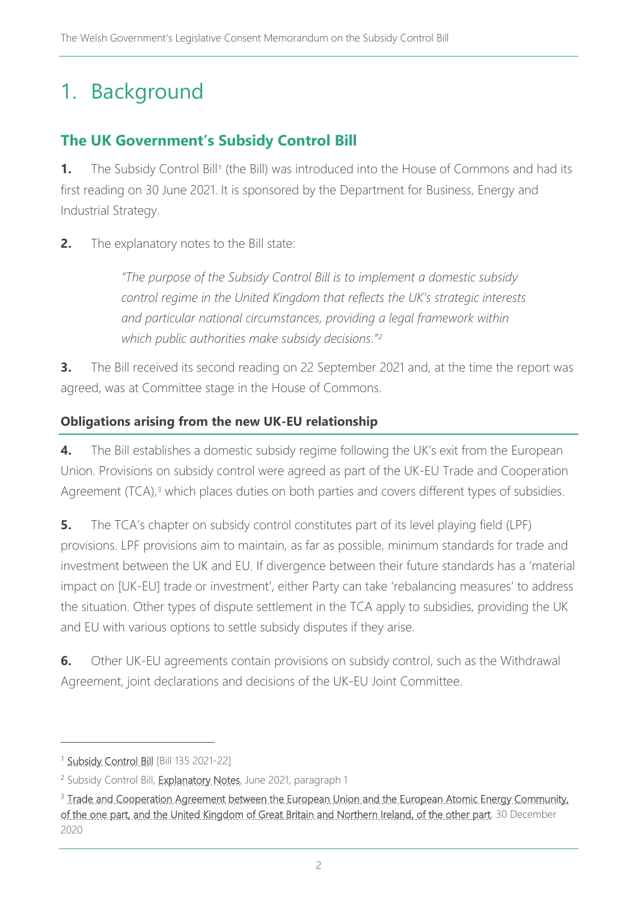# 1. Background

# **The UK Government's Subsidy Control Bill**

**[1](#page-1-0).** The Subsidy Control Bill<sup>1</sup> (the Bill) was introduced into the House of Commons and had its first reading on 30 June 2021. It is sponsored by the Department for Business, Energy and Industrial Strategy.

**2.** The explanatory notes to the Bill state:

*"The purpose of the Subsidy Control Bill is to implement a domestic subsidy control regime in the United Kingdom that reflects the UK's strategic interests and particular national circumstances, providing a legal framework within which public authorities make subsidy decisions."[2](#page-1-1)*

**3.** The Bill received its second reading on 22 September 2021 and, at the time the report was agreed, was at Committee stage in the House of Commons.

#### **Obligations arising from the new UK-EU relationship**

**4.** The Bill establishes a domestic subsidy regime following the UK's exit from the European Union. Provisions on subsidy control were agreed as part of the UK-EU Trade and Cooperation Agreement (TCA), [3](#page-1-2) which places duties on both parties and covers different types of subsidies.

**5.** The TCA's chapter on subsidy control constitutes part of its level playing field (LPF) provisions. LPF provisions aim to maintain, as far as possible, minimum standards for trade and investment between the UK and EU. If divergence between their future standards has a 'material impact on [UK-EU] trade or investment', either Party can take 'rebalancing measures' to address the situation. Other types of dispute settlement in the TCA apply to subsidies, providing the UK and EU with various options to settle subsidy disputes if they arise.

**6.** Other UK-EU agreements contain provisions on subsidy control, such as the Withdrawal Agreement, joint declarations and decisions of the UK-EU Joint Committee.

<span id="page-1-0"></span><sup>&</sup>lt;sup>1</sup> [Subsidy Control Bill](https://publications.parliament.uk/pa/bills/cbill/58-02/0135/210135.pdf) [Bill 135 2021-22]

<span id="page-1-1"></span><sup>&</sup>lt;sup>2</sup> Subsidy Control Bill, [Explanatory Notes,](https://publications.parliament.uk/pa/bills/cbill/58-02/0135/en/210135en.pdf) June 2021, paragraph 1

<span id="page-1-2"></span><sup>&</sup>lt;sup>3</sup> Trade and Cooperation Agreement between the European Union and the European Atomic Energy Community, [of the one part, and the United Kingdom of Great Britain and Northern Ireland, of the other part,](https://eur-lex.europa.eu/legal-content/EN/TXT/PDF/?uri=CELEX:22021A0430(01)&from=EN) 30 December 2020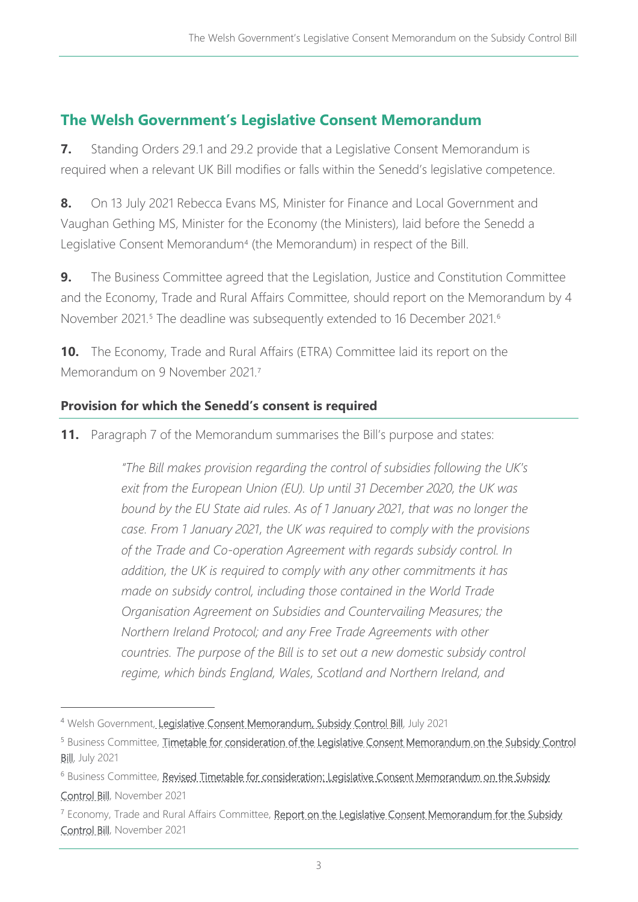## **The Welsh Government's Legislative Consent Memorandum**

**7.** Standing Orders 29.1 and 29.2 provide that a Legislative Consent Memorandum is required when a relevant UK Bill modifies or falls within the Senedd's legislative competence.

**8.** On 13 July 2021 Rebecca Evans MS, Minister for Finance and Local Government and Vaughan Gething MS, Minister for the Economy (the Ministers), laid before the Senedd a Legislative Consent Memorandum<sup>[4](#page-2-0)</sup> (the Memorandum) in respect of the Bill.

**9.** The Business Committee agreed that the Legislation, Justice and Constitution Committee and the Economy, Trade and Rural Affairs Committee, should report on the Memorandum by 4 November 2021.<sup>[5](#page-2-1)</sup> The deadline was subsequently extended to 1[6](#page-2-2) December 2021.<sup>6</sup>

**10.** The Economy, Trade and Rural Affairs (ETRA) Committee laid its report on the Memorandum on 9 November 2021.[7](#page-2-3)

#### **Provision for which the Senedd's consent is required**

**11.** Paragraph 7 of the Memorandum summarises the Bill's purpose and states:

*"The Bill makes provision regarding the control of subsidies following the UK's exit from the European Union (EU). Up until 31 December 2020, the UK was bound by the EU State aid rules. As of 1 January 2021, that was no longer the case. From 1 January 2021, the UK was required to comply with the provisions of the Trade and Co-operation Agreement with regards subsidy control. In addition, the UK is required to comply with any other commitments it has made on subsidy control, including those contained in the World Trade Organisation Agreement on Subsidies and Countervailing Measures; the Northern Ireland Protocol; and any Free Trade Agreements with other countries. The purpose of the Bill is to set out a new domestic subsidy control regime, which binds England, Wales, Scotland and Northern Ireland, and* 

<span id="page-2-0"></span><sup>4</sup> Welsh Government[, Legislative Consent Memorandum, Subsidy Control Bill,](https://senedd.wales/media/yhcnasow/lcm-ld14446-e.pdf) July 2021

<span id="page-2-1"></span><sup>&</sup>lt;sup>5</sup> Business Committee, Timetable for consideration of the Legislative Consent Memorandum on the Subsidy Control [Bill,](https://senedd.wales/media/mfdbwtne/cr-ld14541-e.pdf) July 2021

<span id="page-2-2"></span><sup>&</sup>lt;sup>6</sup> Business Committee, Revised Timetable for consideration: Legislative Consent Memorandum on the Subsidy [Control Bill,](https://senedd.wales/media/1rkhtxhy/cr-ld14637-e.pdf) November 2021

<span id="page-2-3"></span><sup>&</sup>lt;sup>7</sup> Economy, Trade and Rural Affairs Committee, Report on the Legislative Consent Memorandum for the Subsidy [Control Bill,](https://senedd.wales/media/sdcbnw3q/cr-ld14647-e.pdf) November 2021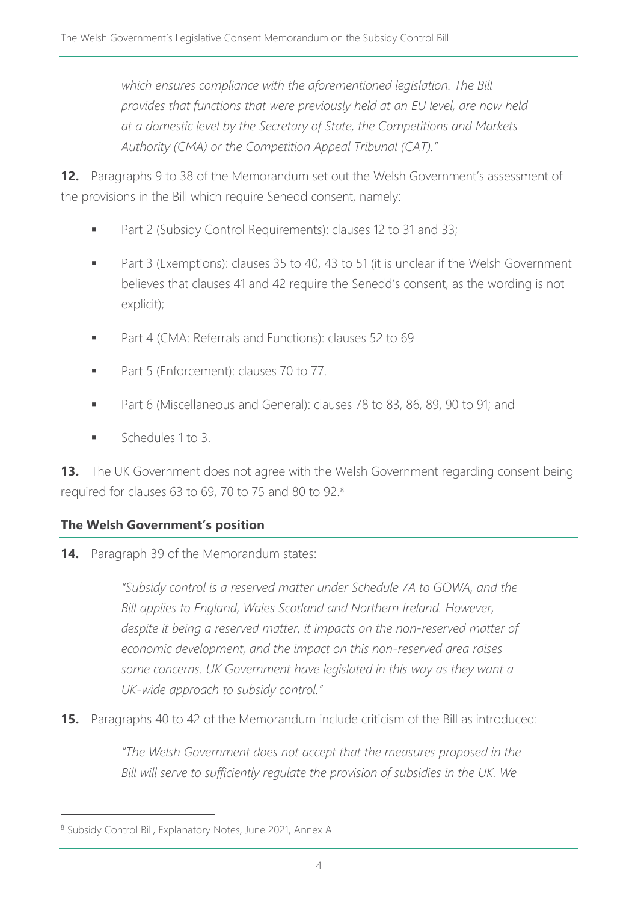*which ensures compliance with the aforementioned legislation. The Bill provides that functions that were previously held at an EU level, are now held at a domestic level by the Secretary of State, the Competitions and Markets Authority (CMA) or the Competition Appeal Tribunal (CAT)."*

**12.** Paragraphs 9 to 38 of the Memorandum set out the Welsh Government's assessment of the provisions in the Bill which require Senedd consent, namely:

- Part 2 (Subsidy Control Requirements): clauses 12 to 31 and 33;
- Part 3 (Exemptions): clauses 35 to 40, 43 to 51 (it is unclear if the Welsh Government believes that clauses 41 and 42 require the Senedd's consent, as the wording is not explicit);
- **Part 4 (CMA: Referrals and Functions): clauses 52 to 69**
- Part 5 (Enforcement): clauses 70 to 77.
- Part 6 (Miscellaneous and General): clauses 78 to 83, 86, 89, 90 to 91; and
- Schedules 1 to 3.

**13.** The UK Government does not agree with the Welsh Government regarding consent being required for clauses 63 to 69, 70 to 75 and 80 to 92.[8](#page-3-0)

#### **The Welsh Government's position**

**14.** Paragraph 39 of the Memorandum states:

*"Subsidy control is a reserved matter under Schedule 7A to GOWA, and the Bill applies to England, Wales Scotland and Northern Ireland. However, despite it being a reserved matter, it impacts on the non-reserved matter of economic development, and the impact on this non-reserved area raises some concerns. UK Government have legislated in this way as they want a UK-wide approach to subsidy control."*

**15.** Paragraphs 40 to 42 of the Memorandum include criticism of the Bill as introduced:

*"The Welsh Government does not accept that the measures proposed in the Bill will serve to sufficiently regulate the provision of subsidies in the UK. We* 

<span id="page-3-0"></span><sup>8</sup> Subsidy Control Bill, Explanatory Notes, June 2021, Annex A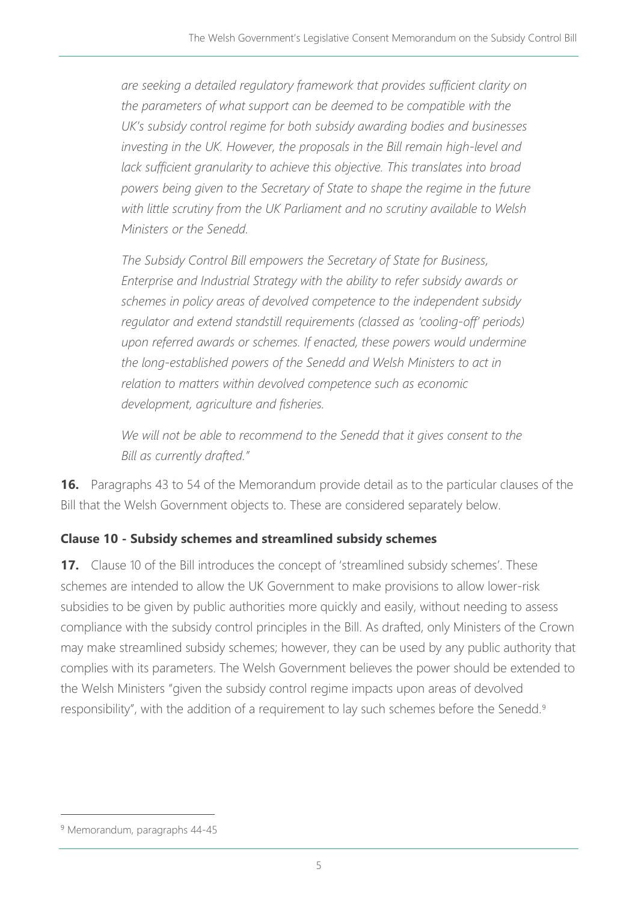*are seeking a detailed regulatory framework that provides sufficient clarity on the parameters of what support can be deemed to be compatible with the UK's subsidy control regime for both subsidy awarding bodies and businesses investing in the UK. However, the proposals in the Bill remain high-level and*  lack sufficient granularity to achieve this objective. This translates into broad *powers being given to the Secretary of State to shape the regime in the future with little scrutiny from the UK Parliament and no scrutiny available to Welsh Ministers or the Senedd.* 

*The Subsidy Control Bill empowers the Secretary of State for Business, Enterprise and Industrial Strategy with the ability to refer subsidy awards or schemes in policy areas of devolved competence to the independent subsidy regulator and extend standstill requirements (classed as 'cooling-off' periods) upon referred awards or schemes. If enacted, these powers would undermine the long-established powers of the Senedd and Welsh Ministers to act in relation to matters within devolved competence such as economic development, agriculture and fisheries.* 

We will not be able to recommend to the Senedd that it gives consent to the *Bill as currently drafted."*

**16.** Paragraphs 43 to 54 of the Memorandum provide detail as to the particular clauses of the Bill that the Welsh Government objects to. These are considered separately below.

#### **Clause 10 - Subsidy schemes and streamlined subsidy schemes**

**17.** Clause 10 of the Bill introduces the concept of 'streamlined subsidy schemes'. These schemes are intended to allow the UK Government to make provisions to allow lower-risk subsidies to be given by public authorities more quickly and easily, without needing to assess compliance with the subsidy control principles in the Bill. As drafted, only Ministers of the Crown may make streamlined subsidy schemes; however, they can be used by any public authority that complies with its parameters. The Welsh Government believes the power should be extended to the Welsh Ministers "given the subsidy control regime impacts upon areas of devolved responsibility", with the addition of a requirement to lay such schemes before the Senedd.<sup>[9](#page-4-0)</sup>

<span id="page-4-0"></span><sup>&</sup>lt;sup>9</sup> Memorandum, paragraphs 44-45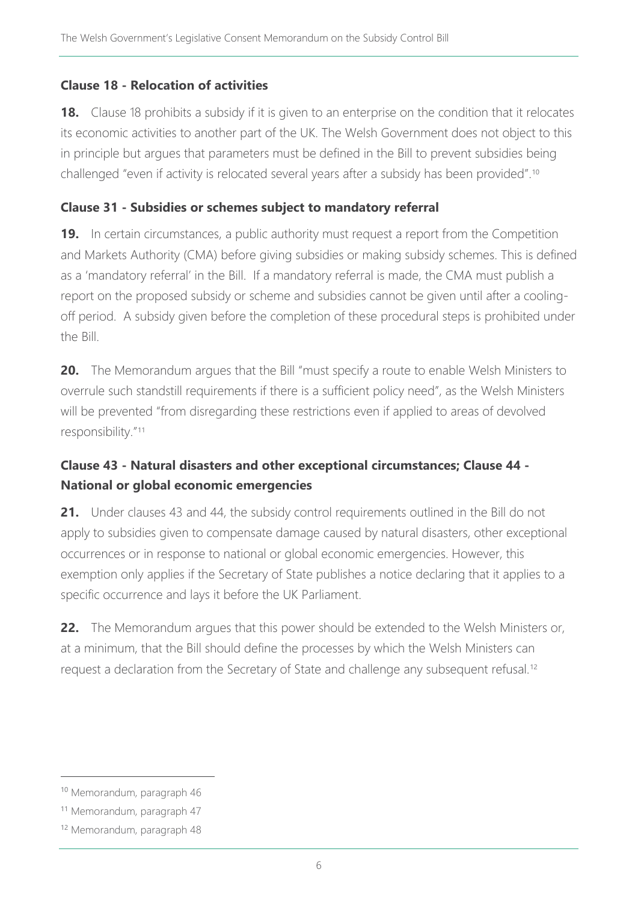#### **Clause 18 - Relocation of activities**

**18.** Clause 18 prohibits a subsidy if it is given to an enterprise on the condition that it relocates its economic activities to another part of the UK. The Welsh Government does not object to this in principle but argues that parameters must be defined in the Bill to prevent subsidies being challenged "even if activity is relocated several years after a subsidy has been provided".<sup>[10](#page-5-0)</sup>

#### **Clause 31 - Subsidies or schemes subject to mandatory referral**

**19.** In certain circumstances, a public authority must request a report from the Competition and Markets Authority (CMA) before giving subsidies or making subsidy schemes. This is defined as a 'mandatory referral' in the Bill. If a mandatory referral is made, the CMA must publish a report on the proposed subsidy or scheme and subsidies cannot be given until after a coolingoff period. A subsidy given before the completion of these procedural steps is prohibited under the Bill.

**20.** The Memorandum argues that the Bill "must specify a route to enable Welsh Ministers to overrule such standstill requirements if there is a sufficient policy need", as the Welsh Ministers will be prevented "from disregarding these restrictions even if applied to areas of devolved responsibility."[11](#page-5-1)

## **Clause 43 - Natural disasters and other exceptional circumstances; Clause 44 - National or global economic emergencies**

**21.** Under clauses 43 and 44, the subsidy control requirements outlined in the Bill do not apply to subsidies given to compensate damage caused by natural disasters, other exceptional occurrences or in response to national or global economic emergencies. However, this exemption only applies if the Secretary of State publishes a notice declaring that it applies to a specific occurrence and lays it before the UK Parliament.

**22.** The Memorandum argues that this power should be extended to the Welsh Ministers or, at a minimum, that the Bill should define the processes by which the Welsh Ministers can request a declaration from the Secretary of State and challenge any subsequent refusal.[12](#page-5-2)

<span id="page-5-0"></span><sup>10</sup> Memorandum, paragraph 46

<span id="page-5-1"></span><sup>11</sup> Memorandum, paragraph 47

<span id="page-5-2"></span><sup>12</sup> Memorandum, paragraph 48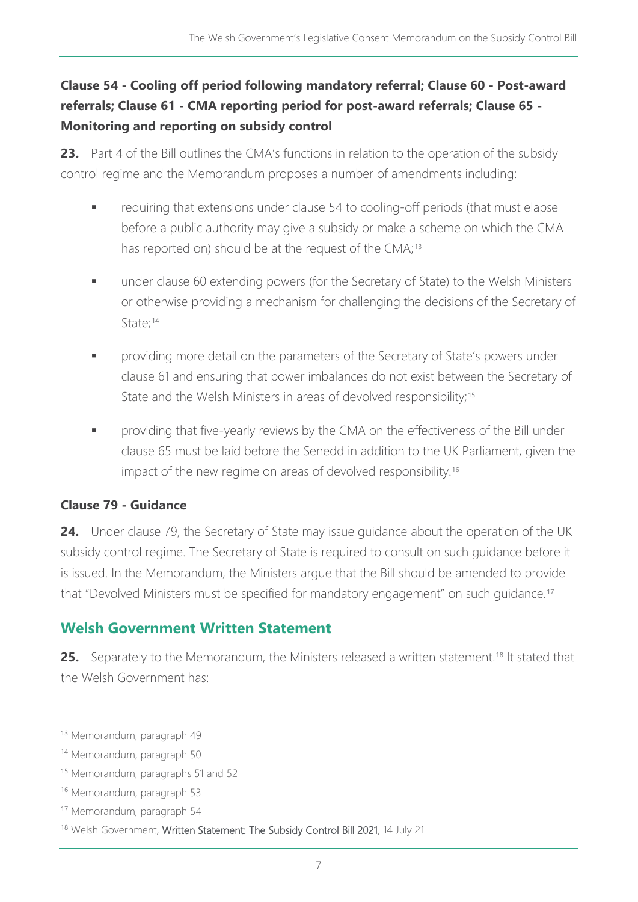# **Clause 54 - Cooling off period following mandatory referral; Clause 60 - Post-award referrals; Clause 61 - CMA reporting period for post-award referrals; Clause 65 - Monitoring and reporting on subsidy control**

**23.** Part 4 of the Bill outlines the CMA's functions in relation to the operation of the subsidy control regime and the Memorandum proposes a number of amendments including:

- requiring that extensions under clause 54 to cooling-off periods (that must elapse before a public authority may give a subsidy or make a scheme on which the CMA has reported on) should be at the request of the CMA;<sup>[13](#page-6-0)</sup>
- **under clause 60 extending powers (for the Secretary of State) to the Welsh Ministers** or otherwise providing a mechanism for challenging the decisions of the Secretary of State;<sup>[14](#page-6-1)</sup>
- **Param Providing more detail on the parameters of the Secretary of State's powers under** clause 61 and ensuring that power imbalances do not exist between the Secretary of State and the Welsh Ministers in areas of devolved responsibility;<sup>[15](#page-6-2)</sup>
- providing that five-yearly reviews by the CMA on the effectiveness of the Bill under clause 65 must be laid before the Senedd in addition to the UK Parliament, given the impact of the new regime on areas of devolved responsibility.<sup>[16](#page-6-3)</sup>

#### **Clause 79 - Guidance**

**24.** Under clause 79, the Secretary of State may issue guidance about the operation of the UK subsidy control regime. The Secretary of State is required to consult on such guidance before it is issued. In the Memorandum, the Ministers argue that the Bill should be amended to provide that "Devolved Ministers must be specified for mandatory engagement" on such guidance.[17](#page-6-4)

# **Welsh Government Written Statement**

**25.** Separately to the Memorandum, the Ministers released a written statement.<sup>[18](#page-6-5)</sup> It stated that the Welsh Government has:

<span id="page-6-0"></span><sup>13</sup> Memorandum, paragraph 49

<span id="page-6-1"></span><sup>14</sup> Memorandum, paragraph 50

<span id="page-6-2"></span><sup>15</sup> Memorandum, paragraphs 51 and 52

<span id="page-6-3"></span><sup>16</sup> Memorandum, paragraph 53

<span id="page-6-4"></span><sup>17</sup> Memorandum, paragraph 54

<span id="page-6-5"></span><sup>18</sup> Welsh Government, [Written Statement: The Subsidy Control Bill 2021,](https://gov.wales/written-statement-subsidy-control-bill-2021) 14 July 21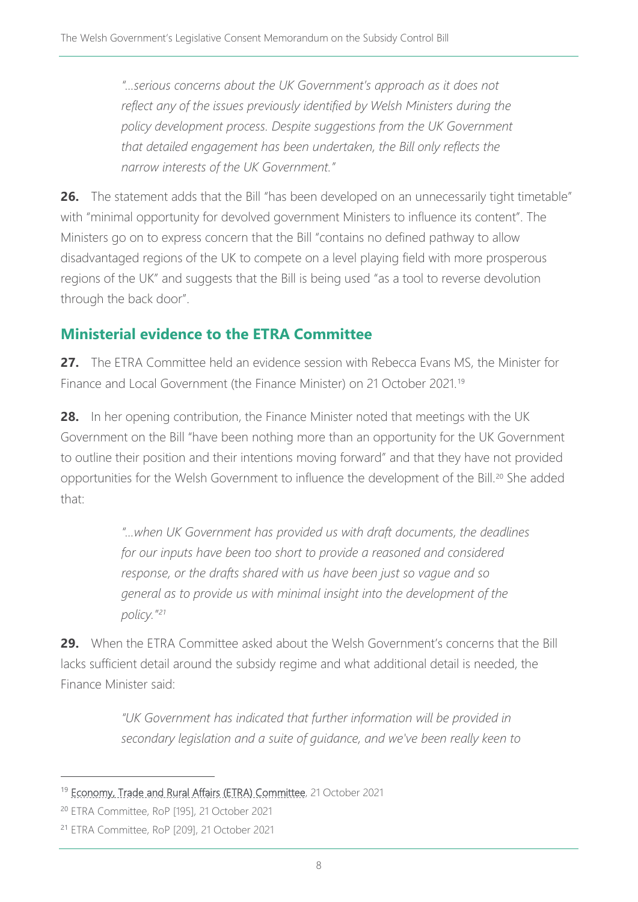*"…serious concerns about the UK Government's approach as it does not*  reflect any of the issues previously identified by Welsh Ministers during the *policy development process. Despite suggestions from the UK Government that detailed engagement has been undertaken, the Bill only reflects the narrow interests of the UK Government."*

**26.** The statement adds that the Bill "has been developed on an unnecessarily tight timetable" with "minimal opportunity for devolved government Ministers to influence its content". The Ministers go on to express concern that the Bill "contains no defined pathway to allow disadvantaged regions of the UK to compete on a level playing field with more prosperous regions of the UK" and suggests that the Bill is being used "as a tool to reverse devolution through the back door".

# **Ministerial evidence to the ETRA Committee**

**27.** The ETRA Committee held an evidence session with Rebecca Evans MS, the Minister for Finance and Local Government (the Finance Minister) on 21 October 2021.[19](#page-7-0)

**28.** In her opening contribution, the Finance Minister noted that meetings with the UK Government on the Bill "have been nothing more than an opportunity for the UK Government to outline their position and their intentions moving forward" and that they have not provided opportunities for the Welsh Government to influence the development of the Bill.<sup>[20](#page-7-1)</sup> She added that:

> *"…when UK Government has provided us with draft documents, the deadlines for our inputs have been too short to provide a reasoned and considered response, or the drafts shared with us have been just so vague and so general as to provide us with minimal insight into the development of the policy."[21](#page-7-2)*

**29.** When the ETRA Committee asked about the Welsh Government's concerns that the Bill lacks sufficient detail around the subsidy regime and what additional detail is needed, the Finance Minister said:

> *"UK Government has indicated that further information will be provided in secondary legislation and a suite of guidance, and we've been really keen to*

<span id="page-7-0"></span><sup>&</sup>lt;sup>19</sup> [Economy, Trade and Rural Affairs \(ETRA\) Committee,](https://record.senedd.wales/Committee/12444#A67701) 21 October 2021

<span id="page-7-1"></span><sup>20</sup> ETRA Committee, RoP [195], 21 October 2021

<span id="page-7-2"></span><sup>21</sup> ETRA Committee, RoP [209], 21 October 2021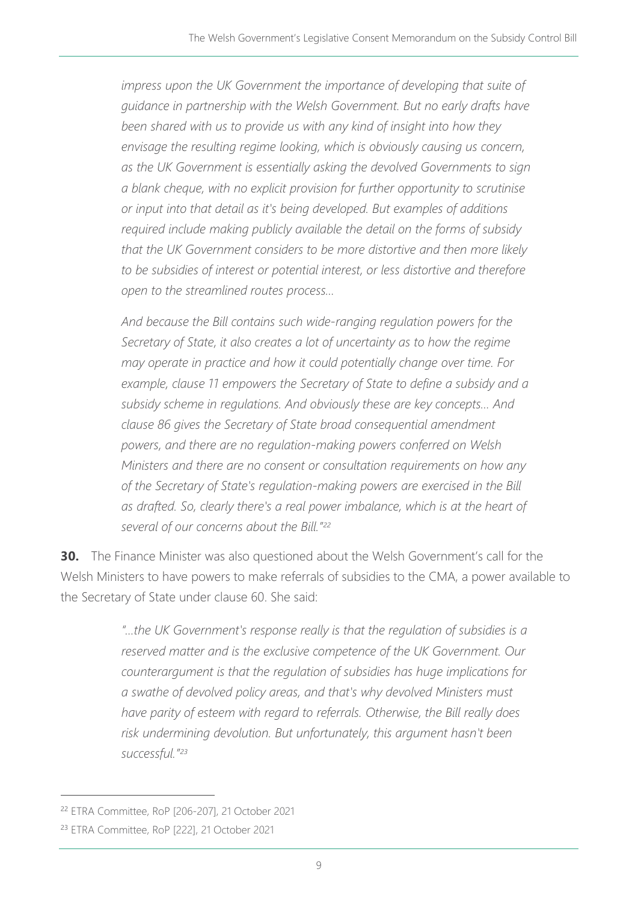*impress upon the UK Government the importance of developing that suite of guidance in partnership with the Welsh Government. But no early drafts have been shared with us to provide us with any kind of insight into how they envisage the resulting regime looking, which is obviously causing us concern, as the UK Government is essentially asking the devolved Governments to sign a blank cheque, with no explicit provision for further opportunity to scrutinise or input into that detail as it's being developed. But examples of additions required include making publicly available the detail on the forms of subsidy that the UK Government considers to be more distortive and then more likely to be subsidies of interest or potential interest, or less distortive and therefore open to the streamlined routes process…* 

*And because the Bill contains such wide-ranging regulation powers for the Secretary of State, it also creates a lot of uncertainty as to how the regime may operate in practice and how it could potentially change over time. For example, clause 11 empowers the Secretary of State to define a subsidy and a subsidy scheme in regulations. And obviously these are key concepts… And clause 86 gives the Secretary of State broad consequential amendment powers, and there are no regulation-making powers conferred on Welsh Ministers and there are no consent or consultation requirements on how any of the Secretary of State's regulation-making powers are exercised in the Bill as drafted. So, clearly there's a real power imbalance, which is at the heart of several of our concerns about the Bill."[22](#page-8-0)*

**30.** The Finance Minister was also questioned about the Welsh Government's call for the Welsh Ministers to have powers to make referrals of subsidies to the CMA, a power available to the Secretary of State under clause 60. She said:

> *"…the UK Government's response really is that the regulation of subsidies is a reserved matter and is the exclusive competence of the UK Government. Our counterargument is that the regulation of subsidies has huge implications for a swathe of devolved policy areas, and that's why devolved Ministers must have parity of esteem with regard to referrals. Otherwise, the Bill really does risk undermining devolution. But unfortunately, this argument hasn't been successful."[23](#page-8-1)*

<span id="page-8-0"></span><sup>22</sup> ETRA Committee, RoP [206-207], 21 October 2021

<span id="page-8-1"></span><sup>23</sup> ETRA Committee, RoP [222], 21 October 2021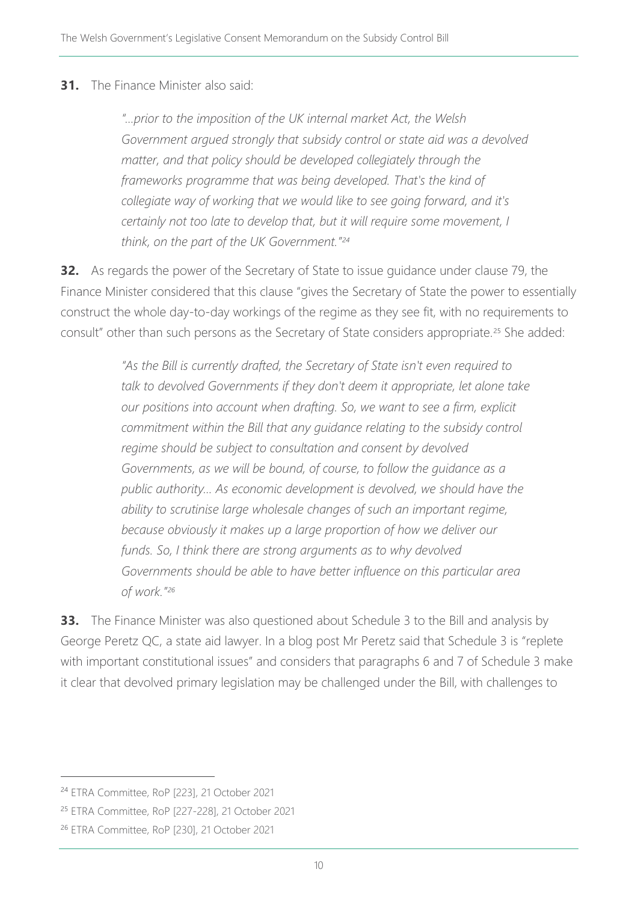#### **31.** The Finance Minister also said:

*"…prior to the imposition of the UK internal market Act, the Welsh Government argued strongly that subsidy control or state aid was a devolved matter, and that policy should be developed collegiately through the frameworks programme that was being developed. That's the kind of collegiate way of working that we would like to see going forward, and it's certainly not too late to develop that, but it will require some movement, I think, on the part of the UK Government."[24](#page-9-0)*

**32.** As regards the power of the Secretary of State to issue guidance under clause 79, the Finance Minister considered that this clause "gives the Secretary of State the power to essentially construct the whole day-to-day workings of the regime as they see fit, with no requirements to consult" other than such persons as the Secretary of State considers appropriate.<sup>[25](#page-9-1)</sup> She added:

> *"As the Bill is currently drafted, the Secretary of State isn't even required to talk to devolved Governments if they don't deem it appropriate, let alone take our positions into account when drafting. So, we want to see a firm, explicit commitment within the Bill that any guidance relating to the subsidy control regime should be subject to consultation and consent by devolved Governments, as we will be bound, of course, to follow the guidance as a public authority… As economic development is devolved, we should have the ability to scrutinise large wholesale changes of such an important regime, because obviously it makes up a large proportion of how we deliver our funds. So, I think there are strong arguments as to why devolved Governments should be able to have better influence on this particular area of work."[26](#page-9-2)*

**33.** The Finance Minister was also questioned about Schedule 3 to the Bill and analysis by George Peretz QC, a state aid lawyer. In a blog post Mr Peretz said that Schedule 3 is "replete with important constitutional issues" and considers that paragraphs 6 and 7 of Schedule 3 make it clear that devolved primary legislation may be challenged under the Bill, with challenges to

<span id="page-9-0"></span><sup>24</sup> ETRA Committee, RoP [223], 21 October 2021

<span id="page-9-1"></span><sup>25</sup> ETRA Committee, RoP [227-228], 21 October 2021

<span id="page-9-2"></span><sup>26</sup> ETRA Committee, RoP [230], 21 October 2021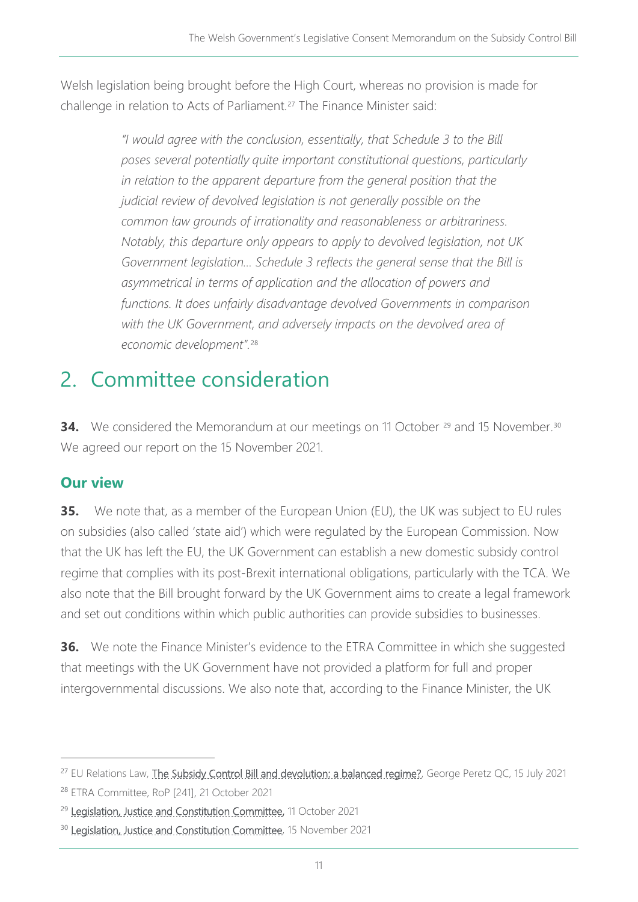Welsh legislation being brought before the High Court, whereas no provision is made for challenge in relation to Acts of Parliament.<sup>[27](#page-10-0)</sup> The Finance Minister said:

> *"I would agree with the conclusion, essentially, that Schedule 3 to the Bill poses several potentially quite important constitutional questions, particularly*  in relation to the apparent departure from the general position that the *judicial review of devolved legislation is not generally possible on the common law grounds of irrationality and reasonableness or arbitrariness. Notably, this departure only appears to apply to devolved legislation, not UK Government legislation… Schedule 3 reflects the general sense that the Bill is asymmetrical in terms of application and the allocation of powers and functions. It does unfairly disadvantage devolved Governments in comparison with the UK Government, and adversely impacts on the devolved area of economic development".*[28](#page-10-1)

# 2. Committee consideration

**34.** We considered the Memorandum at our meetings on 11 October <sup>[29](#page-10-2)</sup> and 15 November.<sup>[30](#page-10-3)</sup> We agreed our report on the 15 November 2021.

## **Our view**

**35.** We note that, as a member of the European Union (EU), the UK was subject to EU rules on subsidies (also called 'state aid') which were regulated by the European Commission. Now that the UK has left the EU, the UK Government can establish a new domestic subsidy control regime that complies with its post-Brexit international obligations, particularly with the TCA. We also note that the Bill brought forward by the UK Government aims to create a legal framework and set out conditions within which public authorities can provide subsidies to businesses.

**36.** We note the Finance Minister's evidence to the ETRA Committee in which she suggested that meetings with the UK Government have not provided a platform for full and proper intergovernmental discussions. We also note that, according to the Finance Minister, the UK

<span id="page-10-1"></span><span id="page-10-0"></span><sup>&</sup>lt;sup>27</sup> EU Relations Law, [The Subsidy Control Bill and devolution: a balanced regime?,](https://eurelationslaw.com/blog/the-subsidy-control-bill-and-devolution-a-balanced-regime) George Peretz QC, 15 July 2021 <sup>28</sup> ETRA Committee, RoP [241], 21 October 2021

<span id="page-10-2"></span><sup>&</sup>lt;sup>29</sup> [Legislation, Justice and Constitution Committee,](https://business.senedd.wales/ieListDocuments.aspx?CId=725&MId=12449&Ver=4) 11 October 2021

<span id="page-10-3"></span><sup>&</sup>lt;sup>30</sup> [Legislation, Justice and Constitution Committee,](https://business.senedd.wales/ieListDocuments.aspx?CId=725&MId=12483&Ver=4) 15 November 2021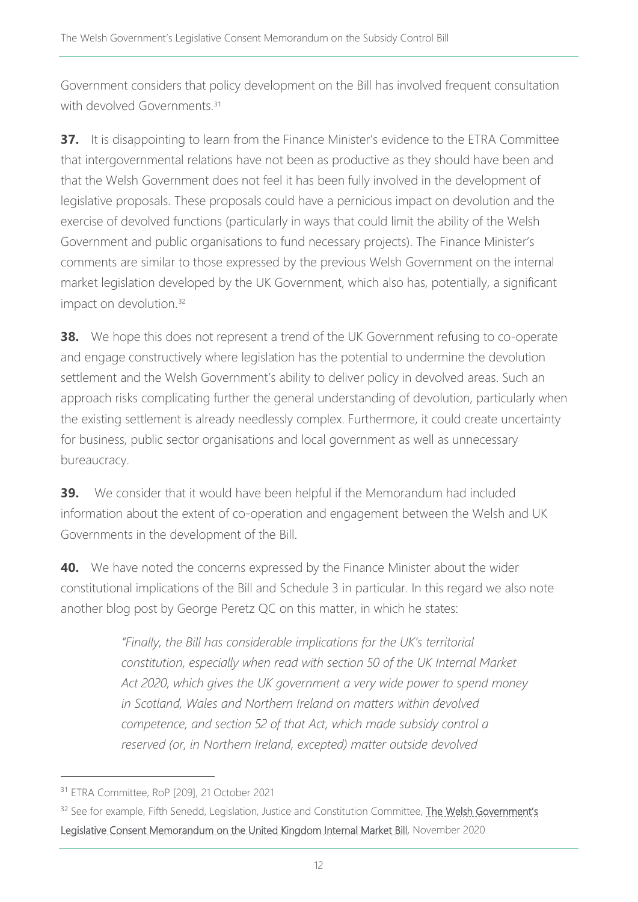Government considers that policy development on the Bill has involved frequent consultation with devolved Governments<sup>[31](#page-11-0)</sup>

**37.** It is disappointing to learn from the Finance Minister's evidence to the ETRA Committee that intergovernmental relations have not been as productive as they should have been and that the Welsh Government does not feel it has been fully involved in the development of legislative proposals. These proposals could have a pernicious impact on devolution and the exercise of devolved functions (particularly in ways that could limit the ability of the Welsh Government and public organisations to fund necessary projects). The Finance Minister's comments are similar to those expressed by the previous Welsh Government on the internal market legislation developed by the UK Government, which also has, potentially, a significant impact on devolution. [32](#page-11-1)

**38.** We hope this does not represent a trend of the UK Government refusing to co-operate and engage constructively where legislation has the potential to undermine the devolution settlement and the Welsh Government's ability to deliver policy in devolved areas. Such an approach risks complicating further the general understanding of devolution, particularly when the existing settlement is already needlessly complex. Furthermore, it could create uncertainty for business, public sector organisations and local government as well as unnecessary bureaucracy.

**39.** We consider that it would have been helpful if the Memorandum had included information about the extent of co-operation and engagement between the Welsh and UK Governments in the development of the Bill.

**40.** We have noted the concerns expressed by the Finance Minister about the wider constitutional implications of the Bill and Schedule 3 in particular. In this regard we also note another blog post by George Peretz QC on this matter, in which he states:

> *"Finally, the Bill has considerable implications for the UK's territorial constitution, especially when read with section 50 of the UK Internal Market Act 2020, which gives the UK government a very wide power to spend money in Scotland, Wales and Northern Ireland on matters within devolved competence, and section 52 of that Act, which made subsidy control a reserved (or, in Northern Ireland, excepted) matter outside devolved*

<span id="page-11-0"></span><sup>31</sup> ETRA Committee, RoP [209], 21 October 2021

<span id="page-11-1"></span><sup>&</sup>lt;sup>32</sup> See for example, Fifth Senedd, Legislation, Justice and Constitution Committee, The Welsh Government's [Legislative Consent Memorandum on the United Kingdom Internal Market Bill,](https://senedd.wales/laid%20documents/cr-ld13861/cr-ld13861-e.pdf) November 2020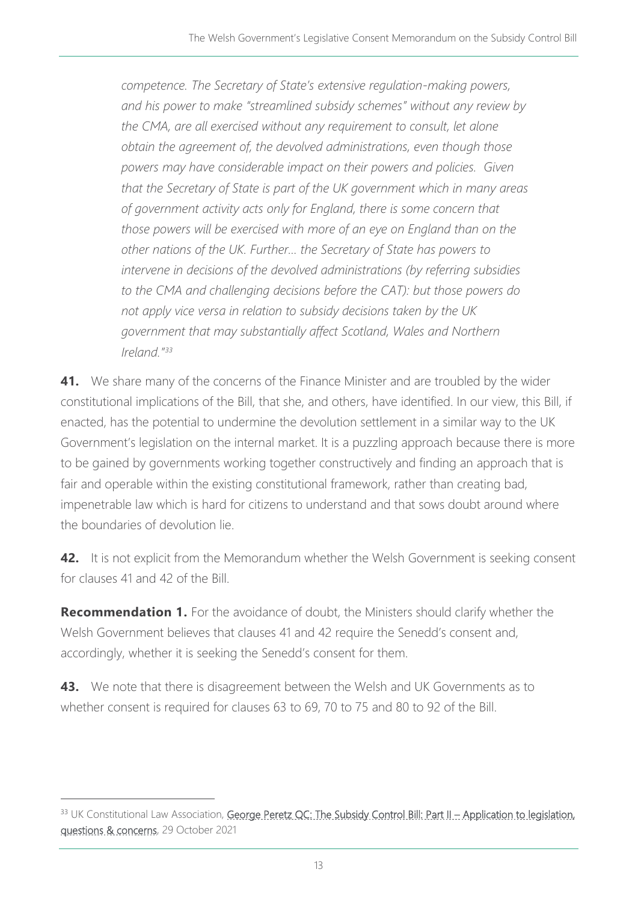*competence. The Secretary of State's extensive regulation-making powers, and his power to make "streamlined subsidy schemes" without any review by the CMA, are all exercised without any requirement to consult, let alone obtain the agreement of, the devolved administrations, even though those powers may have considerable impact on their powers and policies. Given that the Secretary of State is part of the UK government which in many areas of government activity acts only for England, there is some concern that those powers will be exercised with more of an eye on England than on the other nations of the UK. Further… the Secretary of State has powers to intervene in decisions of the devolved administrations (by referring subsidies*  to the CMA and challenging decisions before the CAT): but those powers do *not apply vice versa in relation to subsidy decisions taken by the UK government that may substantially affect Scotland, Wales and Northern Ireland."[33](#page-12-0)*

**41.** We share many of the concerns of the Finance Minister and are troubled by the wider constitutional implications of the Bill, that she, and others, have identified. In our view, this Bill, if enacted, has the potential to undermine the devolution settlement in a similar way to the UK Government's legislation on the internal market. It is a puzzling approach because there is more to be gained by governments working together constructively and finding an approach that is fair and operable within the existing constitutional framework, rather than creating bad, impenetrable law which is hard for citizens to understand and that sows doubt around where the boundaries of devolution lie.

**42.** It is not explicit from the Memorandum whether the Welsh Government is seeking consent for clauses 41 and 42 of the Bill.

**Recommendation 1.** For the avoidance of doubt, the Ministers should clarify whether the Welsh Government believes that clauses 41 and 42 require the Senedd's consent and, accordingly, whether it is seeking the Senedd's consent for them.

**43.** We note that there is disagreement between the Welsh and UK Governments as to whether consent is required for clauses 63 to 69, 70 to 75 and 80 to 92 of the Bill.

<span id="page-12-0"></span><sup>33</sup> UK Constitutional Law Association, George Peretz OC: The Subsidy Control Bill: Part II – Application to legislation, [questions & concerns,](https://ukconstitutionallaw.org/2021/10/29/george-peretz-qc-the-subsidiary-control-bill-part-ii-application-to-legislation-questions-concerns/) 29 October 2021